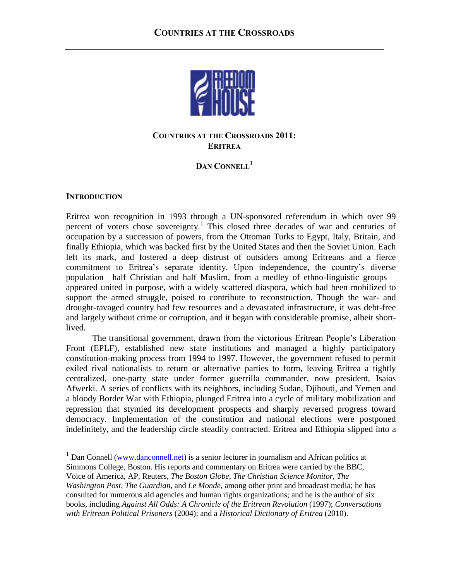

# **COUNTRIES AT THE CROSSROADS 2011: ERITREA**

# **DAN CONNELL<sup>1</sup>**

## **INTRODUCTION**

 $\overline{a}$ 

Eritrea won recognition in 1993 through a UN-sponsored referendum in which over 99 percent of voters chose sovereignty.<sup>1</sup> This closed three decades of war and centuries of occupation by a succession of powers, from the Ottoman Turks to Egypt, Italy, Britain, and finally Ethiopia, which was backed first by the United States and then the Soviet Union. Each left its mark, and fostered a deep distrust of outsiders among Eritreans and a fierce commitment to Eritrea's separate identity. Upon independence, the country's diverse population—half Christian and half Muslim, from a medley of ethno-linguistic groups appeared united in purpose, with a widely scattered diaspora, which had been mobilized to support the armed struggle, poised to contribute to reconstruction. Though the war- and drought-ravaged country had few resources and a devastated infrastructure, it was debt-free and largely without crime or corruption, and it began with considerable promise, albeit shortlived.

The transitional government, drawn from the victorious Eritrean People's Liberation Front (EPLF), established new state institutions and managed a highly participatory constitution-making process from 1994 to 1997. However, the government refused to permit exiled rival nationalists to return or alternative parties to form, leaving Eritrea a tightly centralized, one-party state under former guerrilla commander, now president, Isaias Afwerki. A series of conflicts with its neighbors, including Sudan, Djibouti, and Yemen and a bloody Border War with Ethiopia, plunged Eritrea into a cycle of military mobilization and repression that stymied its development prospects and sharply reversed progress toward democracy. Implementation of the constitution and national elections were postponed indefinitely, and the leadership circle steadily contracted. Eritrea and Ethiopia slipped into a

 $1$  Dan Connell [\(www.danconnell.net\)](http://www.danconnell.net/) is a senior lecturer in journalism and African politics at Simmons College, Boston. His reports and commentary on Eritrea were carried by the BBC, Voice of America, AP, Reuters, *The Boston Globe*, *The Christian Science Monitor*, *The Washington Post*, *The Guardian*, and *Le Monde,* among other print and broadcast media; he has consulted for numerous aid agencies and human rights organizations; and he is the author of six books, including *Against All Odds: A Chronicle of the Eritrean Revolution* (1997); *Conversations with Eritrean Political Prisoners* (2004); and a *Historical Dictionary of Eritrea* (2010).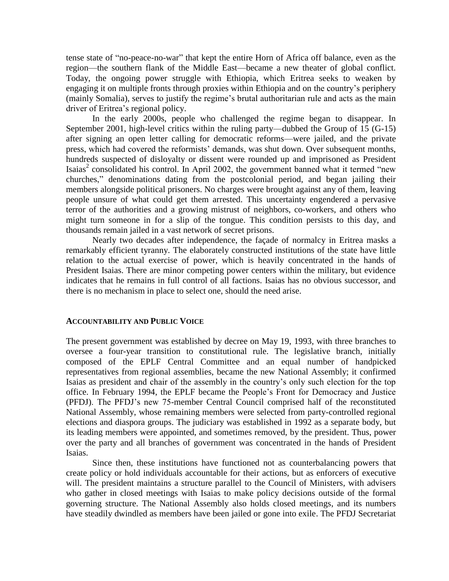tense state of "no-peace-no-war" that kept the entire Horn of Africa off balance, even as the region—the southern flank of the Middle East—became a new theater of global conflict. Today, the ongoing power struggle with Ethiopia, which Eritrea seeks to weaken by engaging it on multiple fronts through proxies within Ethiopia and on the country's periphery (mainly Somalia), serves to justify the regime's brutal authoritarian rule and acts as the main driver of Eritrea's regional policy.

In the early 2000s, people who challenged the regime began to disappear. In September 2001, high-level critics within the ruling party—dubbed the Group of 15 (G-15) after signing an open letter calling for democratic reforms—were jailed, and the private press, which had covered the reformists' demands, was shut down. Over subsequent months, hundreds suspected of disloyalty or dissent were rounded up and imprisoned as President Isaias<sup>2</sup> consolidated his control. In April 2002, the government banned what it termed "new churches,‖ denominations dating from the postcolonial period, and began jailing their members alongside political prisoners. No charges were brought against any of them, leaving people unsure of what could get them arrested. This uncertainty engendered a pervasive terror of the authorities and a growing mistrust of neighbors, co-workers, and others who might turn someone in for a slip of the tongue. This condition persists to this day, and thousands remain jailed in a vast network of secret prisons.

Nearly two decades after independence, the façade of normalcy in Eritrea masks a remarkably efficient tyranny. The elaborately constructed institutions of the state have little relation to the actual exercise of power, which is heavily concentrated in the hands of President Isaias. There are minor competing power centers within the military, but evidence indicates that he remains in full control of all factions. Isaias has no obvious successor, and there is no mechanism in place to select one, should the need arise.

## **ACCOUNTABILITY AND PUBLIC VOICE**

The present government was established by decree on May 19, 1993, with three branches to oversee a four-year transition to constitutional rule. The legislative branch, initially composed of the EPLF Central Committee and an equal number of handpicked representatives from regional assemblies, became the new National Assembly; it confirmed Isaias as president and chair of the assembly in the country's only such election for the top office. In February 1994, the EPLF became the People's Front for Democracy and Justice (PFDJ). The PFDJ's new 75-member Central Council comprised half of the reconstituted National Assembly, whose remaining members were selected from party-controlled regional elections and diaspora groups. The judiciary was established in 1992 as a separate body, but its leading members were appointed, and sometimes removed, by the president. Thus, power over the party and all branches of government was concentrated in the hands of President Isaias.

Since then, these institutions have functioned not as counterbalancing powers that create policy or hold individuals accountable for their actions, but as enforcers of executive will. The president maintains a structure parallel to the Council of Ministers, with advisers who gather in closed meetings with Isaias to make policy decisions outside of the formal governing structure. The National Assembly also holds closed meetings, and its numbers have steadily dwindled as members have been jailed or gone into exile. The PFDJ Secretariat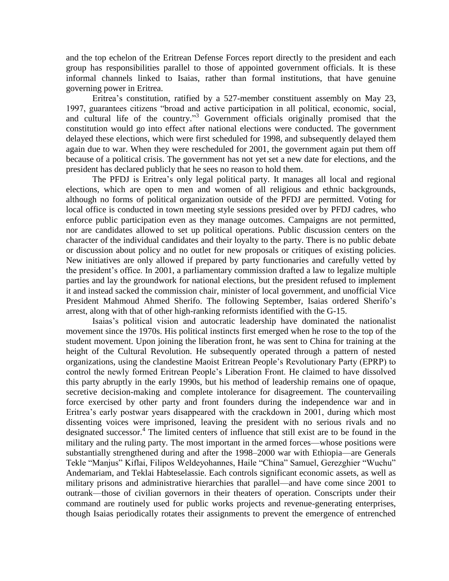and the top echelon of the Eritrean Defense Forces report directly to the president and each group has responsibilities parallel to those of appointed government officials. It is these informal channels linked to Isaias, rather than formal institutions, that have genuine governing power in Eritrea.

Eritrea's constitution, ratified by a 527-member constituent assembly on May 23, 1997, guarantees citizens "broad and active participation in all political, economic, social, and cultural life of the country."<sup>3</sup> Government officials originally promised that the constitution would go into effect after national elections were conducted. The government delayed these elections, which were first scheduled for 1998, and subsequently delayed them again due to war. When they were rescheduled for 2001, the government again put them off because of a political crisis. The government has not yet set a new date for elections, and the president has declared publicly that he sees no reason to hold them.

The PFDJ is Eritrea's only legal political party. It manages all local and regional elections, which are open to men and women of all religious and ethnic backgrounds, although no forms of political organization outside of the PFDJ are permitted. Voting for local office is conducted in town meeting style sessions presided over by PFDJ cadres, who enforce public participation even as they manage outcomes. Campaigns are not permitted, nor are candidates allowed to set up political operations. Public discussion centers on the character of the individual candidates and their loyalty to the party. There is no public debate or discussion about policy and no outlet for new proposals or critiques of existing policies. New initiatives are only allowed if prepared by party functionaries and carefully vetted by the president's office. In 2001, a parliamentary commission drafted a law to legalize multiple parties and lay the groundwork for national elections, but the president refused to implement it and instead sacked the commission chair, minister of local government, and unofficial Vice President Mahmoud Ahmed Sherifo. The following September, Isaias ordered Sherifo's arrest, along with that of other high-ranking reformists identified with the G-15.

Isaias's political vision and autocratic leadership have dominated the nationalist movement since the 1970s. His political instincts first emerged when he rose to the top of the student movement. Upon joining the liberation front, he was sent to China for training at the height of the Cultural Revolution. He subsequently operated through a pattern of nested organizations, using the clandestine Maoist Eritrean People's Revolutionary Party (EPRP) to control the newly formed Eritrean People's Liberation Front. He claimed to have dissolved this party abruptly in the early 1990s, but his method of leadership remains one of opaque, secretive decision-making and complete intolerance for disagreement. The countervailing force exercised by other party and front founders during the independence war and in Eritrea's early postwar years disappeared with the crackdown in 2001, during which most dissenting voices were imprisoned, leaving the president with no serious rivals and no designated successor. 4 The limited centers of influence that still exist are to be found in the military and the ruling party. The most important in the armed forces—whose positions were substantially strengthened during and after the 1998–2000 war with Ethiopia—are Generals Tekle "Manjus" Kiflai, Filipos Weldeyohannes, Haile "China" Samuel, Gerezghier "Wuchu" Andemariam, and Teklai Habteselassie. Each controls significant economic assets, as well as military prisons and administrative hierarchies that parallel—and have come since 2001 to outrank—those of civilian governors in their theaters of operation. Conscripts under their command are routinely used for public works projects and revenue-generating enterprises, though Isaias periodically rotates their assignments to prevent the emergence of entrenched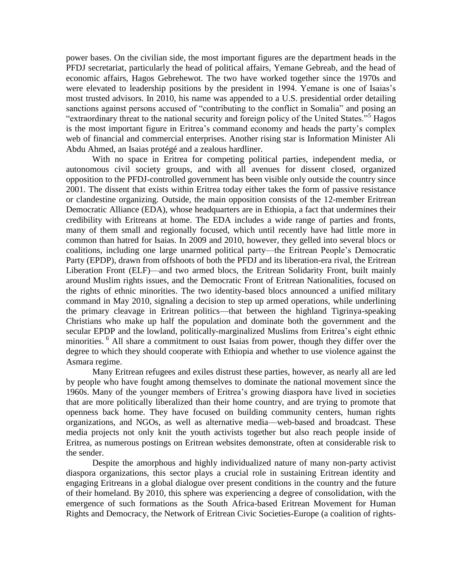power bases. On the civilian side, the most important figures are the department heads in the PFDJ secretariat, particularly the head of political affairs, Yemane Gebreab, and the head of economic affairs, Hagos Gebrehewot. The two have worked together since the 1970s and were elevated to leadership positions by the president in 1994. Yemane is one of Isaias's most trusted advisors. In 2010, his name was appended to a U.S. presidential order detailing sanctions against persons accused of "contributing to the conflict in Somalia" and posing an "extraordinary threat to the national security and foreign policy of the United States."<sup>5</sup> Hagos is the most important figure in Eritrea's command economy and heads the party's complex web of financial and commercial enterprises. Another rising star is Information Minister Ali Abdu Ahmed, an Isaias protégé and a zealous hardliner.

With no space in Eritrea for competing political parties, independent media, or autonomous civil society groups, and with all avenues for dissent closed, organized opposition to the PFDJ-controlled government has been visible only outside the country since 2001. The dissent that exists within Eritrea today either takes the form of passive resistance or clandestine organizing. Outside, the main opposition consists of the 12-member Eritrean Democratic Alliance (EDA), whose headquarters are in Ethiopia, a fact that undermines their credibility with Eritreans at home. The EDA includes a wide range of parties and fronts, many of them small and regionally focused, which until recently have had little more in common than hatred for Isaias. In 2009 and 2010, however, they gelled into several blocs or coalitions, including one large unarmed political party—the Eritrean People's Democratic Party (EPDP), drawn from offshoots of both the PFDJ and its liberation-era rival, the Eritrean Liberation Front (ELF)—and two armed blocs, the Eritrean Solidarity Front, built mainly around Muslim rights issues, and the Democratic Front of Eritrean Nationalities, focused on the rights of ethnic minorities. The two identity-based blocs announced a unified military command in May 2010, signaling a decision to step up armed operations, while underlining the primary cleavage in Eritrean politics—that between the highland Tigrinya-speaking Christians who make up half the population and dominate both the government and the secular EPDP and the lowland, politically-marginalized Muslims from Eritrea's eight ethnic minorities. <sup>6</sup> All share a commitment to oust Isaias from power, though they differ over the degree to which they should cooperate with Ethiopia and whether to use violence against the Asmara regime.

Many Eritrean refugees and exiles distrust these parties, however, as nearly all are led by people who have fought among themselves to dominate the national movement since the 1960s. Many of the younger members of Eritrea's growing diaspora have lived in societies that are more politically liberalized than their home country, and are trying to promote that openness back home. They have focused on building community centers, human rights organizations, and NGOs, as well as alternative media—web-based and broadcast. These media projects not only knit the youth activists together but also reach people inside of Eritrea, as numerous postings on Eritrean websites demonstrate, often at considerable risk to the sender.

Despite the amorphous and highly individualized nature of many non-party activist diaspora organizations, this sector plays a crucial role in sustaining Eritrean identity and engaging Eritreans in a global dialogue over present conditions in the country and the future of their homeland. By 2010, this sphere was experiencing a degree of consolidation, with the emergence of such formations as the South Africa-based Eritrean Movement for Human Rights and Democracy, the Network of Eritrean Civic Societies-Europe (a coalition of rights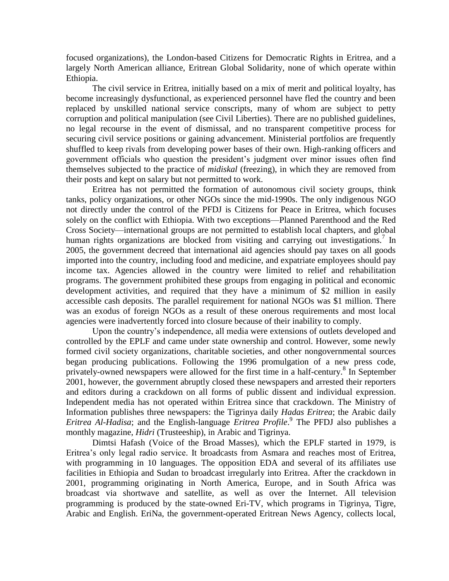focused organizations), the London-based Citizens for Democratic Rights in Eritrea, and a largely North American alliance, Eritrean Global Solidarity, none of which operate within Ethiopia.

The civil service in Eritrea, initially based on a mix of merit and political loyalty, has become increasingly dysfunctional, as experienced personnel have fled the country and been replaced by unskilled national service conscripts, many of whom are subject to petty corruption and political manipulation (see Civil Liberties). There are no published guidelines, no legal recourse in the event of dismissal, and no transparent competitive process for securing civil service positions or gaining advancement. Ministerial portfolios are frequently shuffled to keep rivals from developing power bases of their own. High-ranking officers and government officials who question the president's judgment over minor issues often find themselves subjected to the practice of *midiskal* (freezing), in which they are removed from their posts and kept on salary but not permitted to work.

Eritrea has not permitted the formation of autonomous civil society groups, think tanks, policy organizations, or other NGOs since the mid-1990s. The only indigenous NGO not directly under the control of the PFDJ is Citizens for Peace in Eritrea, which focuses solely on the conflict with Ethiopia. With two exceptions—Planned Parenthood and the Red Cross Society—international groups are not permitted to establish local chapters, and global human rights organizations are blocked from visiting and carrying out investigations.<sup>7</sup> In 2005, the government decreed that international aid agencies should pay taxes on all goods imported into the country, including food and medicine, and expatriate employees should pay income tax. Agencies allowed in the country were limited to relief and rehabilitation programs. The government prohibited these groups from engaging in political and economic development activities, and required that they have a minimum of \$2 million in easily accessible cash deposits. The parallel requirement for national NGOs was \$1 million. There was an exodus of foreign NGOs as a result of these onerous requirements and most local agencies were inadvertently forced into closure because of their inability to comply.

Upon the country's independence, all media were extensions of outlets developed and controlled by the EPLF and came under state ownership and control. However, some newly formed civil society organizations, charitable societies, and other nongovernmental sources began producing publications. Following the 1996 promulgation of a new press code, privately-owned newspapers were allowed for the first time in a half-century.<sup>8</sup> In September 2001, however, the government abruptly closed these newspapers and arrested their reporters and editors during a crackdown on all forms of public dissent and individual expression. Independent media has not operated within Eritrea since that crackdown. The Ministry of Information publishes three newspapers: the Tigrinya daily *Hadas Eritrea*; the Arabic daily *Eritrea Al-Hadisa*; and the English-language *Eritrea Profile*. 9 The PFDJ also publishes a monthly magazine, *Hidri* (Trusteeship), in Arabic and Tigrinya.

Dimtsi Hafash (Voice of the Broad Masses), which the EPLF started in 1979, is Eritrea's only legal radio service. It broadcasts from Asmara and reaches most of Eritrea, with programming in 10 languages. The opposition EDA and several of its affiliates use facilities in Ethiopia and Sudan to broadcast irregularly into Eritrea. After the crackdown in 2001, programming originating in North America, Europe, and in South Africa was broadcast via shortwave and satellite, as well as over the Internet. All television programming is produced by the state-owned Eri-TV, which programs in Tigrinya, Tigre, Arabic and English. EriNa, the government-operated Eritrean News Agency, collects local,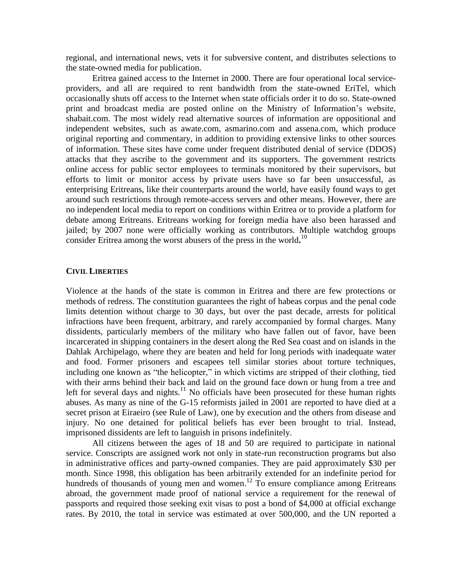regional, and international news, vets it for subversive content, and distributes selections to the state-owned media for publication.

Eritrea gained access to the Internet in 2000. There are four operational local serviceproviders, and all are required to rent bandwidth from the state-owned EriTel, which occasionally shuts off access to the Internet when state officials order it to do so. State-owned print and broadcast media are posted online on the Ministry of Information's website, shabait.com. The most widely read alternative sources of information are oppositional and independent websites, such as awate.com, asmarino.com and assena.com, which produce original reporting and commentary, in addition to providing extensive links to other sources of information. These sites have come under frequent distributed denial of service (DDOS) attacks that they ascribe to the government and its supporters. The government restricts online access for public sector employees to terminals monitored by their supervisors, but efforts to limit or monitor access by private users have so far been unsuccessful, as enterprising Eritreans, like their counterparts around the world, have easily found ways to get around such restrictions through remote-access servers and other means. However, there are no independent local media to report on conditions within Eritrea or to provide a platform for debate among Eritreans. Eritreans working for foreign media have also been harassed and jailed; by 2007 none were officially working as contributors. Multiple watchdog groups consider Eritrea among the worst abusers of the press in the world**.** 10

#### **CIVIL LIBERTIES**

Violence at the hands of the state is common in Eritrea and there are few protections or methods of redress. The constitution guarantees the right of habeas corpus and the penal code limits detention without charge to 30 days, but over the past decade, arrests for political infractions have been frequent, arbitrary, and rarely accompanied by formal charges. Many dissidents, particularly members of the military who have fallen out of favor, have been incarcerated in shipping containers in the desert along the Red Sea coast and on islands in the Dahlak Archipelago, where they are beaten and held for long periods with inadequate water and food. Former prisoners and escapees tell similar stories about torture techniques, including one known as "the helicopter," in which victims are stripped of their clothing, tied with their arms behind their back and laid on the ground face down or hung from a tree and left for several days and nights.<sup>11</sup> No officials have been prosecuted for these human rights abuses. As many as nine of the G-15 reformists jailed in 2001 are reported to have died at a secret prison at Eiraeiro (see Rule of Law), one by execution and the others from disease and injury. No one detained for political beliefs has ever been brought to trial. Instead, imprisoned dissidents are left to languish in prisons indefinitely.

All citizens between the ages of 18 and 50 are required to participate in national service. Conscripts are assigned work not only in state-run reconstruction programs but also in administrative offices and party-owned companies. They are paid approximately \$30 per month. Since 1998, this obligation has been arbitrarily extended for an indefinite period for hundreds of thousands of young men and women.<sup>12</sup> To ensure compliance among Eritreans abroad, the government made proof of national service a requirement for the renewal of passports and required those seeking exit visas to post a bond of \$4,000 at official exchange rates. By 2010, the total in service was estimated at over 500,000, and the UN reported a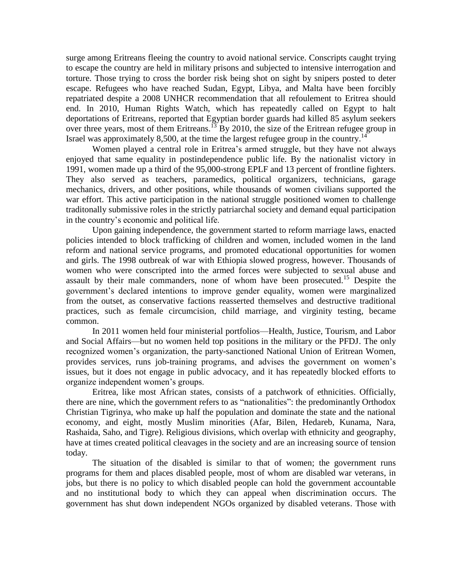surge among Eritreans fleeing the country to avoid national service. Conscripts caught trying to escape the country are held in military prisons and subjected to intensive interrogation and torture. Those trying to cross the border risk being shot on sight by snipers posted to deter escape. Refugees who have reached Sudan, Egypt, Libya, and Malta have been forcibly repatriated despite a 2008 UNHCR recommendation that all refoulement to Eritrea should end. In 2010, Human Rights Watch, which has repeatedly called on Egypt to halt deportations of Eritreans, reported that Egyptian border guards had killed 85 asylum seekers over three years, most of them Eritreans.<sup>13</sup> By 2010, the size of the Eritrean refugee group in Israel was approximately 8,500, at the time the largest refugee group in the country.<sup>14</sup>

Women played a central role in Eritrea's armed struggle, but they have not always enjoyed that same equality in postindependence public life. By the nationalist victory in 1991, women made up a third of the 95,000-strong EPLF and 13 percent of frontline fighters. They also served as teachers, paramedics, political organizers, technicians, garage mechanics, drivers, and other positions, while thousands of women civilians supported the war effort. This active participation in the national struggle positioned women to challenge traditonally submissive roles in the strictly patriarchal society and demand equal participation in the country's economic and political life.

Upon gaining independence, the government started to reform marriage laws, enacted policies intended to block trafficking of children and women, included women in the land reform and national service programs, and promoted educational opportunities for women and girls. The 1998 outbreak of war with Ethiopia slowed progress, however. Thousands of women who were conscripted into the armed forces were subjected to sexual abuse and assault by their male commanders, none of whom have been prosecuted.<sup>15</sup> Despite the government's declared intentions to improve gender equality, women were marginalized from the outset, as conservative factions reasserted themselves and destructive traditional practices, such as female circumcision, child marriage, and virginity testing, became common.

In 2011 women held four ministerial portfolios—Health, Justice, Tourism, and Labor and Social Affairs—but no women held top positions in the military or the PFDJ. The only recognized women's organization, the party-sanctioned National Union of Eritrean Women, provides services, runs job-training programs, and advises the government on women's issues, but it does not engage in public advocacy, and it has repeatedly blocked efforts to organize independent women's groups.

Eritrea, like most African states, consists of a patchwork of ethnicities. Officially, there are nine, which the government refers to as "nationalities": the predominantly Orthodox Christian Tigrinya, who make up half the population and dominate the state and the national economy, and eight, mostly Muslim minorities (Afar, Bilen, Hedareb, Kunama, Nara, Rashaida, Saho, and Tigre). Religious divisions, which overlap with ethnicity and geography, have at times created political cleavages in the society and are an increasing source of tension today.

The situation of the disabled is similar to that of women; the government runs programs for them and places disabled people, most of whom are disabled war veterans, in jobs, but there is no policy to which disabled people can hold the government accountable and no institutional body to which they can appeal when discrimination occurs. The government has shut down independent NGOs organized by disabled veterans. Those with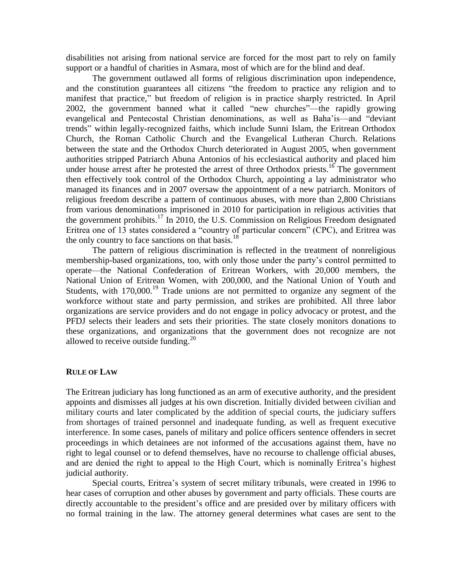disabilities not arising from national service are forced for the most part to rely on family support or a handful of charities in Asmara, most of which are for the blind and deaf.

The government outlawed all forms of religious discrimination upon independence, and the constitution guarantees all citizens "the freedom to practice any religion and to manifest that practice," but freedom of religion is in practice sharply restricted. In April 2002, the government banned what it called "new churches"—the rapidly growing evangelical and Pentecostal Christian denominations, as well as Baha'is—and "deviant" trends‖ within legally-recognized faiths, which include Sunni Islam, the Eritrean Orthodox Church, the Roman Catholic Church and the Evangelical Lutheran Church. Relations between the state and the Orthodox Church deteriorated in August 2005, when government authorities stripped Patriarch Abuna Antonios of his ecclesiastical authority and placed him under house arrest after he protested the arrest of three Orthodox priests.<sup>16</sup> The government then effectively took control of the Orthodox Church, appointing a lay administrator who managed its finances and in 2007 oversaw the appointment of a new patriarch. Monitors of religious freedom describe a pattern of continuous abuses, with more than 2,800 Christians from various denominations imprisoned in 2010 for participation in religious activities that the government prohibits.<sup>17</sup> In 2010, the U.S. Commission on Religious Freedom designated Eritrea one of 13 states considered a "country of particular concern" (CPC), and Eritrea was the only country to face sanctions on that basis.<sup>18</sup>

The pattern of religious discrimination is reflected in the treatment of nonreligious membership-based organizations, too, with only those under the party's control permitted to operate—the National Confederation of Eritrean Workers, with 20,000 members, the National Union of Eritrean Women, with 200,000, and the National Union of Youth and Students, with  $170,000$ <sup>19</sup> Trade unions are not permitted to organize any segment of the workforce without state and party permission, and strikes are prohibited. All three labor organizations are service providers and do not engage in policy advocacy or protest, and the PFDJ selects their leaders and sets their priorities. The state closely monitors donations to these organizations, and organizations that the government does not recognize are not allowed to receive outside funding.<sup>20</sup>

## **RULE OF LAW**

The Eritrean judiciary has long functioned as an arm of executive authority, and the president appoints and dismisses all judges at his own discretion. Initially divided between civilian and military courts and later complicated by the addition of special courts, the judiciary suffers from shortages of trained personnel and inadequate funding, as well as frequent executive interference. In some cases, panels of military and police officers sentence offenders in secret proceedings in which detainees are not informed of the accusations against them, have no right to legal counsel or to defend themselves, have no recourse to challenge official abuses, and are denied the right to appeal to the High Court, which is nominally Eritrea's highest judicial authority.

Special courts, Eritrea's system of secret military tribunals, were created in 1996 to hear cases of corruption and other abuses by government and party officials. These courts are directly accountable to the president's office and are presided over by military officers with no formal training in the law. The attorney general determines what cases are sent to the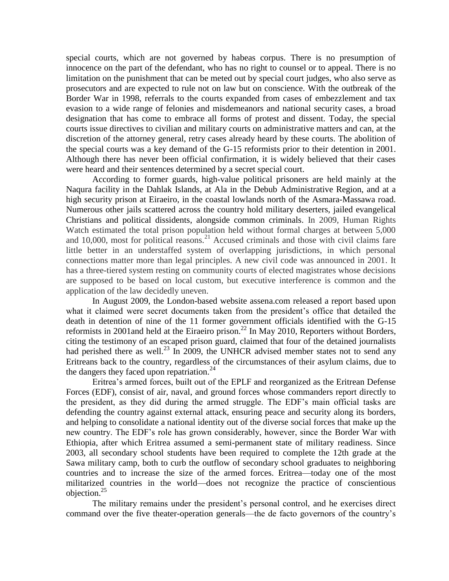special courts, which are not governed by habeas corpus. There is no presumption of innocence on the part of the defendant, who has no right to counsel or to appeal. There is no limitation on the punishment that can be meted out by special court judges, who also serve as prosecutors and are expected to rule not on law but on conscience. With the outbreak of the Border War in 1998, referrals to the courts expanded from cases of embezzlement and tax evasion to a wide range of felonies and misdemeanors and national security cases, a broad designation that has come to embrace all forms of protest and dissent. Today, the special courts issue directives to civilian and military courts on administrative matters and can, at the discretion of the attorney general, retry cases already heard by these courts. The abolition of the special courts was a key demand of the G-15 reformists prior to their detention in 2001. Although there has never been official confirmation, it is widely believed that their cases were heard and their sentences determined by a secret special court.

According to former guards, high-value political prisoners are held mainly at the Naqura facility in the Dahlak Islands, at Ala in the Debub Administrative Region, and at a high security prison at Eiraeiro, in the coastal lowlands north of the Asmara-Massawa road. Numerous other jails scattered across the country hold military deserters, jailed evangelical Christians and political dissidents, alongside common criminals. In 2009, Human Rights Watch estimated the total prison population held without formal charges at between 5,000 and  $10,000$ , most for political reasons.<sup>21</sup> Accused criminals and those with civil claims fare little better in an understaffed system of overlapping jurisdictions, in which personal connections matter more than legal principles. A new civil code was announced in 2001. It has a three-tiered system resting on community courts of elected magistrates whose decisions are supposed to be based on local custom, but executive interference is common and the application of the law decidedly uneven.

In August 2009, the London-based website assena.com released a report based upon what it claimed were secret documents taken from the president's office that detailed the death in detention of nine of the 11 former government officials identified with the G-15 reformists in 2001and held at the Eiraeiro prison.<sup>22</sup> In May 2010, Reporters without Borders, citing the testimony of an escaped prison guard, claimed that four of the detained journalists had perished there as well.<sup>23</sup> In 2009, the UNHCR advised member states not to send any Eritreans back to the country, regardless of the circumstances of their asylum claims, due to the dangers they faced upon repatriation.<sup>24</sup>

Eritrea's armed forces, built out of the EPLF and reorganized as the Eritrean Defense Forces (EDF), consist of air, naval, and ground forces whose commanders report directly to the president, as they did during the armed struggle. The EDF's main official tasks are defending the country against external attack, ensuring peace and security along its borders, and helping to consolidate a national identity out of the diverse social forces that make up the new country. The EDF's role has grown considerably, however, since the Border War with Ethiopia, after which Eritrea assumed a semi-permanent state of military readiness. Since 2003, all secondary school students have been required to complete the 12th grade at the Sawa military camp, both to curb the outflow of secondary school graduates to neighboring countries and to increase the size of the armed forces. Eritrea—today one of the most militarized countries in the world—does not recognize the practice of conscientious objection.<sup>25</sup>

The military remains under the president's personal control, and he exercises direct command over the five theater-operation generals—the de facto governors of the country's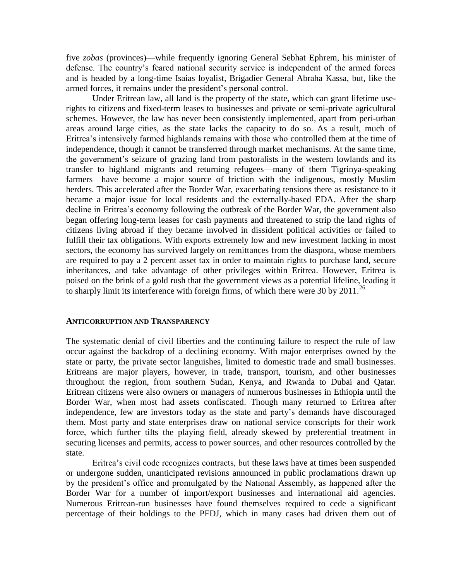five *zobas* (provinces)—while frequently ignoring General Sebhat Ephrem, his minister of defense. The country's feared national security service is independent of the armed forces and is headed by a long-time Isaias loyalist, Brigadier General Abraha Kassa, but, like the armed forces, it remains under the president's personal control.

Under Eritrean law, all land is the property of the state, which can grant lifetime userights to citizens and fixed-term leases to businesses and private or semi-private agricultural schemes. However, the law has never been consistently implemented, apart from peri-urban areas around large cities, as the state lacks the capacity to do so. As a result, much of Eritrea's intensively farmed highlands remains with those who controlled them at the time of independence, though it cannot be transferred through market mechanisms. At the same time, the government's seizure of grazing land from pastoralists in the western lowlands and its transfer to highland migrants and returning refugees—many of them Tigrinya-speaking farmers—have become a major source of friction with the indigenous, mostly Muslim herders. This accelerated after the Border War, exacerbating tensions there as resistance to it became a major issue for local residents and the externally-based EDA. After the sharp decline in Eritrea's economy following the outbreak of the Border War, the government also began offering long-term leases for cash payments and threatened to strip the land rights of citizens living abroad if they became involved in dissident political activities or failed to fulfill their tax obligations. With exports extremely low and new investment lacking in most sectors, the economy has survived largely on remittances from the diaspora, whose members are required to pay a 2 percent asset tax in order to maintain rights to purchase land, secure inheritances, and take advantage of other privileges within Eritrea. However, Eritrea is poised on the brink of a gold rush that the government views as a potential lifeline, leading it to sharply limit its interference with foreign firms, of which there were 30 by  $2011$ .<sup>26</sup>

#### **ANTICORRUPTION AND TRANSPARENCY**

The systematic denial of civil liberties and the continuing failure to respect the rule of law occur against the backdrop of a declining economy. With major enterprises owned by the state or party, the private sector languishes, limited to domestic trade and small businesses. Eritreans are major players, however, in trade, transport, tourism, and other businesses throughout the region, from southern Sudan, Kenya, and Rwanda to Dubai and Qatar. Eritrean citizens were also owners or managers of numerous businesses in Ethiopia until the Border War, when most had assets confiscated. Though many returned to Eritrea after independence, few are investors today as the state and party's demands have discouraged them. Most party and state enterprises draw on national service conscripts for their work force, which further tilts the playing field, already skewed by preferential treatment in securing licenses and permits, access to power sources, and other resources controlled by the state.

Eritrea's civil code recognizes contracts, but these laws have at times been suspended or undergone sudden, unanticipated revisions announced in public proclamations drawn up by the president's office and promulgated by the National Assembly, as happened after the Border War for a number of import/export businesses and international aid agencies. Numerous Eritrean-run businesses have found themselves required to cede a significant percentage of their holdings to the PFDJ, which in many cases had driven them out of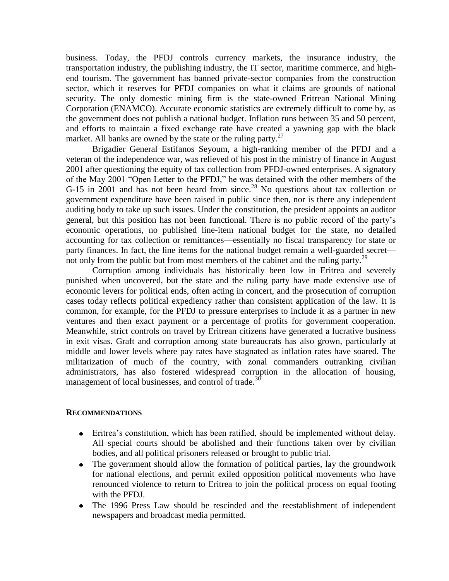business. Today, the PFDJ controls currency markets, the insurance industry, the transportation industry, the publishing industry, the IT sector, maritime commerce, and highend tourism. The government has banned private-sector companies from the construction sector, which it reserves for PFDJ companies on what it claims are grounds of national security. The only domestic mining firm is the state-owned Eritrean National Mining Corporation (ENAMCO). Accurate economic statistics are extremely difficult to come by, as the government does not publish a national budget. Inflation runs between 35 and 50 percent, and efforts to maintain a fixed exchange rate have created a yawning gap with the black market. All banks are owned by the state or the ruling party.<sup>27</sup>

Brigadier General Estifanos Seyoum, a high-ranking member of the PFDJ and a veteran of the independence war, was relieved of his post in the ministry of finance in August 2001 after questioning the equity of tax collection from PFDJ-owned enterprises. A signatory of the May 2001 "Open Letter to the PFDJ," he was detained with the other members of the G-15 in 2001 and has not been heard from since.<sup>28</sup> No questions about tax collection or government expenditure have been raised in public since then, nor is there any independent auditing body to take up such issues. Under the constitution, the president appoints an auditor general, but this position has not been functional. There is no public record of the party's economic operations, no published line-item national budget for the state, no detailed accounting for tax collection or remittances—essentially no fiscal transparency for state or party finances. In fact, the line items for the national budget remain a well-guarded secret not only from the public but from most members of the cabinet and the ruling party.<sup>29</sup>

Corruption among individuals has historically been low in Eritrea and severely punished when uncovered, but the state and the ruling party have made extensive use of economic levers for political ends, often acting in concert, and the prosecution of corruption cases today reflects political expediency rather than consistent application of the law. It is common, for example, for the PFDJ to pressure enterprises to include it as a partner in new ventures and then exact payment or a percentage of profits for government cooperation. Meanwhile, strict controls on travel by Eritrean citizens have generated a lucrative business in exit visas. Graft and corruption among state bureaucrats has also grown, particularly at middle and lower levels where pay rates have stagnated as inflation rates have soared. The militarization of much of the country, with zonal commanders outranking civilian administrators, has also fostered widespread corruption in the allocation of housing, management of local businesses, and control of trade.<sup>30</sup>

## **RECOMMENDATIONS**

- Eritrea's constitution, which has been ratified, should be implemented without delay. All special courts should be abolished and their functions taken over by civilian bodies, and all political prisoners released or brought to public trial.
- The government should allow the formation of political parties, lay the groundwork for national elections, and permit exiled opposition political movements who have renounced violence to return to Eritrea to join the political process on equal footing with the PFDJ.
- The 1996 Press Law should be rescinded and the reestablishment of independent newspapers and broadcast media permitted.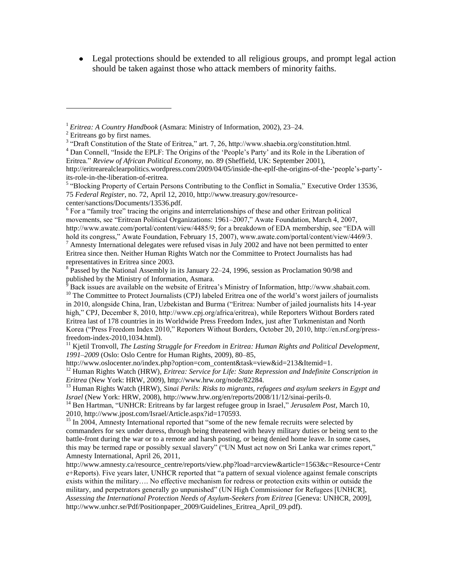Legal protections should be extended to all religious groups, and prompt legal action should be taken against those who attack members of minority faiths.

 $\overline{a}$ 

<sup>4</sup> Dan Connell, "Inside the EPLF: The Origins of the 'People's Party' and its Role in the Liberation of Eritrea." Review of African Political Economy, no. 89 (Sheffield, UK: September 2001),

http://eritrearealclearpolitics.wordpress.com/2009/04/05/inside-the-eplf-the-origins-of-the-'people's-party'its-role-in-the-liberation-of-eritrea.

<sup>5</sup> "Blocking Property of Certain Persons Contributing to the Conflict in Somalia," Executive Order 13536, 75 *Federal Register*, no. 72, April 12, 2010, http://www.treasury.gov/resourcecenter/sanctions/Documents/13536.pdf.

<sup>6</sup> For a "family tree" tracing the origins and interrelationships of these and other Eritrean political movements, see "Eritrean Political Organizations: 1961–2007," Awate Foundation, March 4, 2007, http://www.awate.com/portal/content/view/4485/9; for a breakdown of EDA membership, see "EDA will hold its congress," Awate Foundation, February 15, 2007), www.awate.com/portal/content/view/4469/3.  $^7$  Amnesty International delegates were refused visas in July 2002 and have not been permitted to enter Eritrea since then. Neither Human Rights Watch nor the Committee to Protect Journalists has had representatives in Eritrea since 2003.

<sup>8</sup> Passed by the National Assembly in its January 22–24, 1996, session as Proclamation 90/98 and published by the Ministry of Information, Asmara.

<sup>9</sup> Back issues are available on the website of Eritrea's Ministry of Information, http://www.shabait.com. <sup>10</sup> The Committee to Protect Journalists (CPJ) labeled Eritrea one of the world's worst jailers of journalists in 2010, alongside China, Iran, Uzbekistan and Burma ("Eritrea: Number of jailed journalists hits 14-year high," CPJ, December 8, 2010, http://www.cpj.org/africa/eritrea), while Reporters Without Borders rated Eritrea last of 178 countries in its Worldwide Press Freedom Index, just after Turkmenistan and North Korea ("Press Freedom Index 2010," Reporters Without Borders, October 20, 2010, http://en.rsf.org/pressfreedom-index-2010,1034.html).

 $11$  Kjetil Tronvoll, *The Lasting Struggle for Freedom in Eritrea: Human Rights and Political Development, 1991–2009* (Oslo: Oslo Centre for Human Rights, 2009), 80–85,

http://www.oslocenter.no/index.php?option=com\_content&task=view&id=213&Itemid=1. <sup>12</sup> Human Rights Watch (HRW), *Eritrea: Service for Life: State Repression and Indefinite Conscription in Eritrea* (New York: HRW, 2009), http://www.hrw.org/node/82284.

<sup>13</sup> Human Rights Watch (HRW), *Sinai Perils: Risks to migrants, refugees and asylum seekers in Egypt and Israel* (New York: HRW, 2008), http://www.hrw.org/en/reports/2008/11/12/sinai-perils-0.

<sup>14</sup> Ben Hartman, "UNHCR: Eritreans by far largest refugee group in Israel," Jerusalem Post, March 10, 2010, http://www.jpost.com/Israel/Article.aspx?id=170593.

 $15$  In 2004, Amnesty International reported that "some of the new female recruits were selected by commanders for sex under duress, through being threatened with heavy military duties or being sent to the battle-front during the war or to a remote and harsh posting, or being denied home leave. In some cases, this may be termed rape or possibly sexual slavery" ("UN Must act now on Sri Lanka war crimes report," Amnesty International, April 26, 2011,

http://www.amnesty.ca/resource\_centre/reports/view.php?load=arcview&article=1563&c=Resource+Centr e+Reports). Five years later, UNHCR reported that "a pattern of sexual violence against female conscripts exists within the military…. No effective mechanism for redress or protection exits within or outside the military, and perpetrators generally go unpunished‖ (UN High Commissioner for Refugees [UNHCR], *Assessing the International Protection Needs of Asylum-Seekers from Eritrea* [Geneva: UNHCR, 2009], http://www.unhcr.se/Pdf/Positionpaper\_2009/Guidelines\_Eritrea\_April\_09.pdf).

<sup>1</sup> *Eritrea: A Country Handbook* (Asmara: Ministry of Information, 2002), 23–24.

<sup>&</sup>lt;sup>2</sup> Eritreans go by first names.

 $3$  "Draft Constitution of the State of Eritrea," art. 7, 26, http://www.shaebia.org/constitution.html.